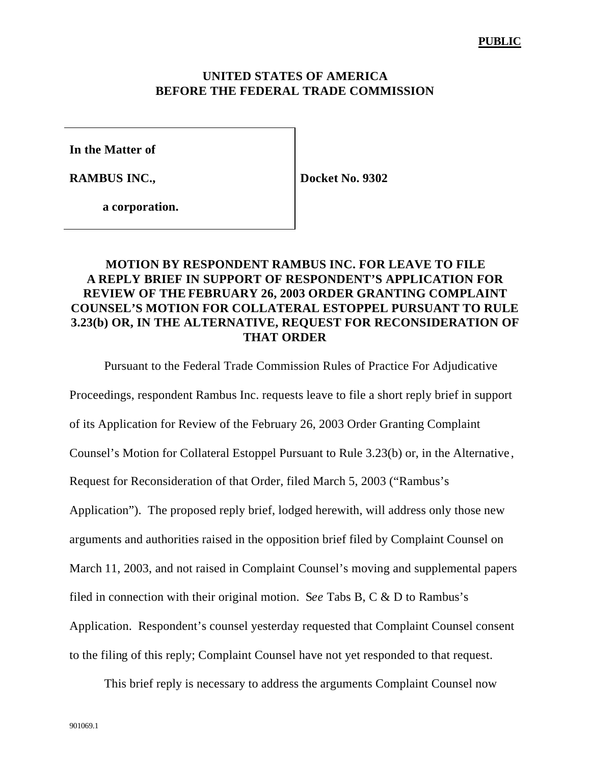## **UNITED STATES OF AMERICA BEFORE THE FEDERAL TRADE COMMISSION**

**In the Matter of**

**RAMBUS INC.,**

**Docket No. 9302**

**a corporation.**

## **MOTION BY RESPONDENT RAMBUS INC. FOR LEAVE TO FILE A REPLY BRIEF IN SUPPORT OF RESPONDENT'S APPLICATION FOR REVIEW OF THE FEBRUARY 26, 2003 ORDER GRANTING COMPLAINT COUNSEL'S MOTION FOR COLLATERAL ESTOPPEL PURSUANT TO RULE 3.23(b) OR, IN THE ALTERNATIVE, REQUEST FOR RECONSIDERATION OF THAT ORDER**

Pursuant to the Federal Trade Commission Rules of Practice For Adjudicative Proceedings, respondent Rambus Inc. requests leave to file a short reply brief in support of its Application for Review of the February 26, 2003 Order Granting Complaint Counsel's Motion for Collateral Estoppel Pursuant to Rule 3.23(b) or, in the Alternative , Request for Reconsideration of that Order, filed March 5, 2003 ("Rambus's Application"). The proposed reply brief, lodged herewith, will address only those new arguments and authorities raised in the opposition brief filed by Complaint Counsel on March 11, 2003, and not raised in Complaint Counsel's moving and supplemental papers filed in connection with their original motion. S*ee* Tabs B, C & D to Rambus's Application. Respondent's counsel yesterday requested that Complaint Counsel consent to the filing of this reply; Complaint Counsel have not yet responded to that request.

This brief reply is necessary to address the arguments Complaint Counsel now